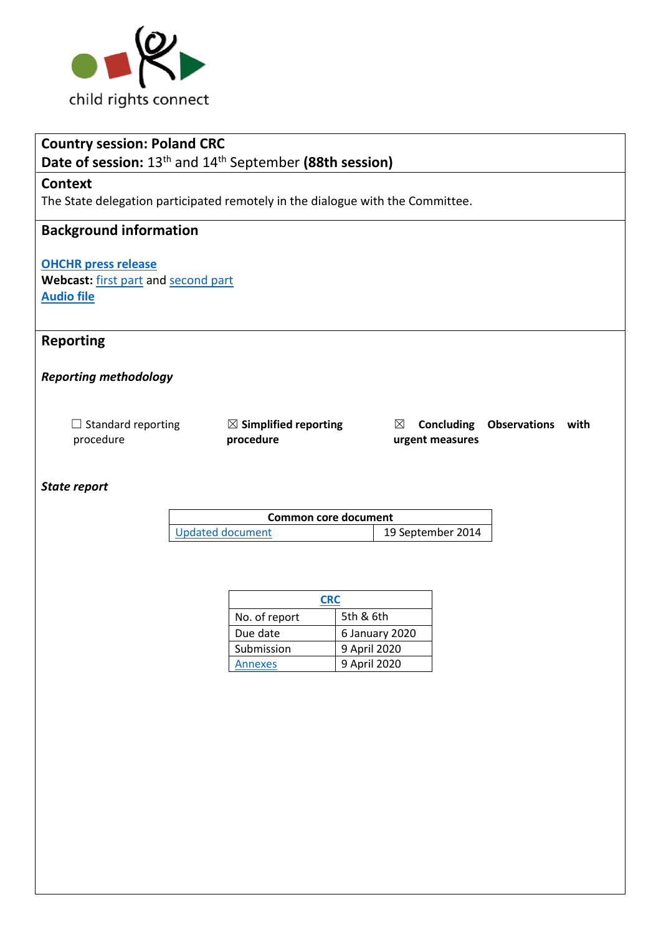

| <b>Country session: Poland CRC</b>                                                     |                                               |                                    |                          |  |  |
|----------------------------------------------------------------------------------------|-----------------------------------------------|------------------------------------|--------------------------|--|--|
| Date of session: 13 <sup>th</sup> and 14 <sup>th</sup> September (88th session)        |                                               |                                    |                          |  |  |
| <b>Context</b>                                                                         |                                               |                                    |                          |  |  |
| The State delegation participated remotely in the dialogue with the Committee.         |                                               |                                    |                          |  |  |
| <b>Background information</b>                                                          |                                               |                                    |                          |  |  |
| <b>OHCHR press release</b><br>Webcast: first part and second part<br><b>Audio file</b> |                                               |                                    |                          |  |  |
| <b>Reporting</b>                                                                       |                                               |                                    |                          |  |  |
| <b>Reporting methodology</b>                                                           |                                               |                                    |                          |  |  |
| $\Box$ Standard reporting<br>procedure                                                 | $\boxtimes$ Simplified reporting<br>procedure | ⊠<br>Concluding<br>urgent measures | <b>Observations</b> with |  |  |
| <b>State report</b>                                                                    |                                               |                                    |                          |  |  |
| <b>Common core document</b>                                                            |                                               |                                    |                          |  |  |
|                                                                                        | <b>Updated document</b>                       | 19 September 2014                  |                          |  |  |
|                                                                                        |                                               |                                    |                          |  |  |
|                                                                                        |                                               |                                    |                          |  |  |
| <b>CRC</b>                                                                             |                                               |                                    |                          |  |  |
|                                                                                        | 5th & 6th<br>No. of report                    |                                    |                          |  |  |

Due date 6 January 2020 Submission 9 April 2020 [Annexes](https://tbinternet.ohchr.org/_layouts/15/treatybodyexternal/Download.aspx?symbolno=INT%2fCRC%2fADR%2fPOL%2f42037&Lang=en) 9 April 2020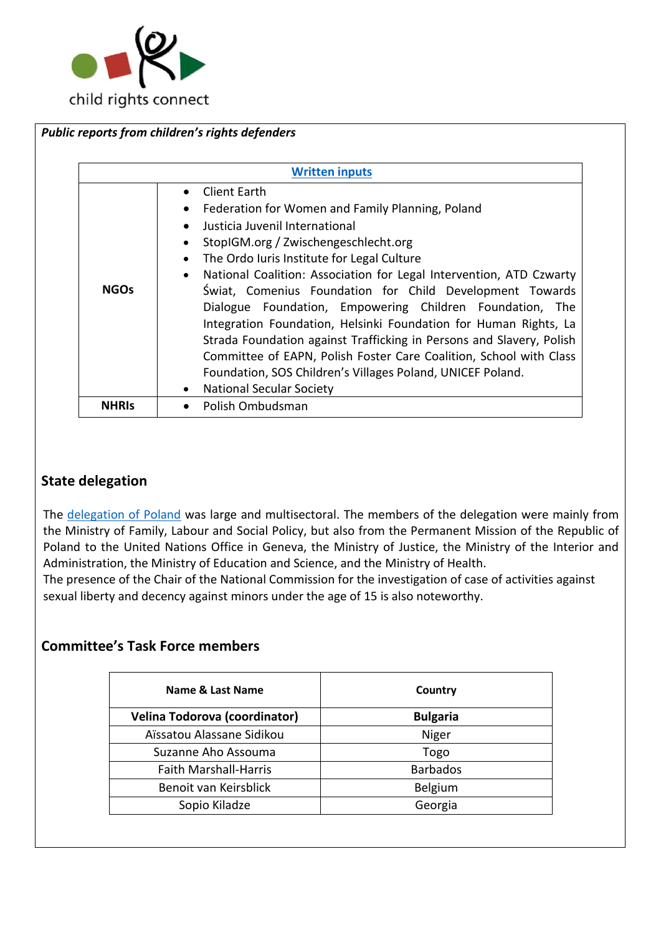

| • Client Earth<br>Federation for Women and Family Planning, Poland<br>Justicia Juvenil International<br>StopIGM.org / Zwischengeschlecht.org<br>The Ordo Iuris Institute for Legal Culture<br><b>NGOs</b> | <b>Written inputs</b> |                                                                                                                                                                                                                                                                                                                                                                                                                                                                             |  |
|-----------------------------------------------------------------------------------------------------------------------------------------------------------------------------------------------------------|-----------------------|-----------------------------------------------------------------------------------------------------------------------------------------------------------------------------------------------------------------------------------------------------------------------------------------------------------------------------------------------------------------------------------------------------------------------------------------------------------------------------|--|
| <b>National Secular Society</b>                                                                                                                                                                           |                       | National Coalition: Association for Legal Intervention, ATD Czwarty<br>Świat, Comenius Foundation for Child Development Towards<br>Dialogue Foundation, Empowering Children Foundation, The<br>Integration Foundation, Helsinki Foundation for Human Rights, La<br>Strada Foundation against Trafficking in Persons and Slavery, Polish<br>Committee of EAPN, Polish Foster Care Coalition, School with Class<br>Foundation, SOS Children's Villages Poland, UNICEF Poland. |  |

# **State delegation**

The [delegation of Poland](https://tbinternet.ohchr.org/_layouts/15/treatybodyexternal/Download.aspx?symbolno=INT%2fCRC%2fLOP%2fPOL%2f46611&Lang=en) was large and multisectoral. The members of the delegation were mainly from the Ministry of Family, Labour and Social Policy, but also from the Permanent Mission of the Republic of Poland to the United Nations Office in Geneva, the Ministry of Justice, the Ministry of the Interior and Administration, the Ministry of Education and Science, and the Ministry of Health.

The presence of the Chair of the National Commission for the investigation of case of activities against sexual liberty and decency against minors under the age of 15 is also noteworthy.

# **Committee's Task Force members**

| Name & Last Name              | Country         |  |
|-------------------------------|-----------------|--|
| Velina Todorova (coordinator) | <b>Bulgaria</b> |  |
| Aïssatou Alassane Sidikou     | Niger           |  |
| Suzanne Aho Assouma           | Togo            |  |
| <b>Faith Marshall-Harris</b>  | <b>Barbados</b> |  |
| Benoit van Keirsblick         | Belgium         |  |
| Sopio Kiladze                 | Georgia         |  |
|                               |                 |  |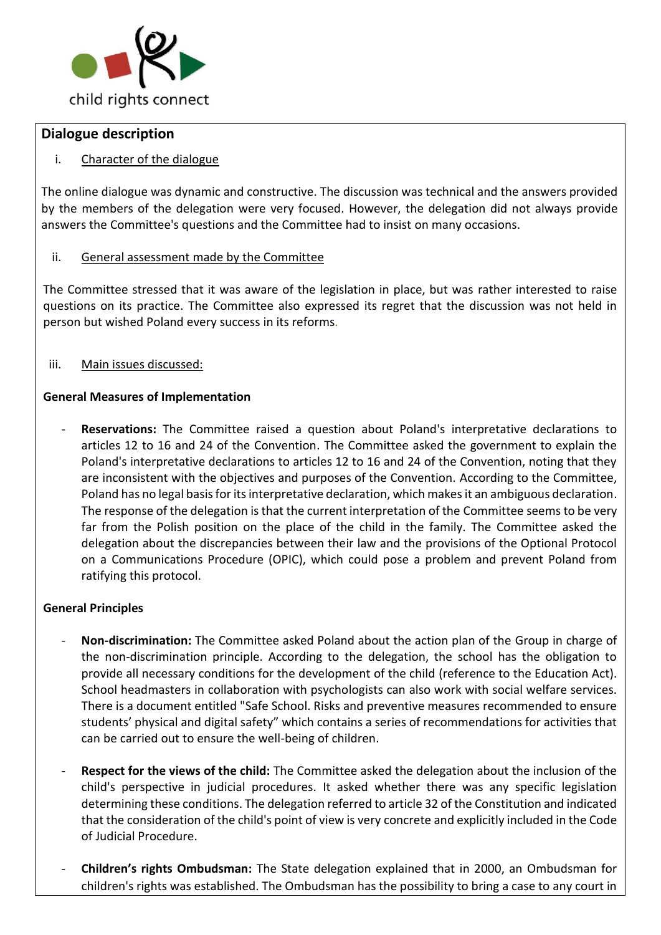

## **Dialogue description**

## i. Character of the dialogue

The online dialogue was dynamic and constructive. The discussion was technical and the answers provided by the members of the delegation were very focused. However, the delegation did not always provide answers the Committee's questions and the Committee had to insist on many occasions.

## ii. General assessment made by the Committee

The Committee stressed that it was aware of the legislation in place, but was rather interested to raise questions on its practice. The Committee also expressed its regret that the discussion was not held in person but wished Poland every success in its reforms*.*

iii. Main issues discussed:

### **General Measures of Implementation**

Reservations: The Committee raised a question about Poland's interpretative declarations to articles 12 to 16 and 24 of the Convention. The Committee asked the government to explain the Poland's interpretative declarations to articles 12 to 16 and 24 of the Convention, noting that they are inconsistent with the objectives and purposes of the Convention. According to the Committee, Poland has no legal basis for its interpretative declaration, which makes it an ambiguous declaration. The response of the delegation is that the current interpretation of the Committee seems to be very far from the Polish position on the place of the child in the family. The Committee asked the delegation about the discrepancies between their law and the provisions of the Optional Protocol on a Communications Procedure (OPIC), which could pose a problem and prevent Poland from ratifying this protocol.

#### **General Principles**

- **Non-discrimination:** The Committee asked Poland about the action plan of the Group in charge of the non-discrimination principle. According to the delegation, the school has the obligation to provide all necessary conditions for the development of the child (reference to the Education Act). School headmasters in collaboration with psychologists can also work with social welfare services. There is a document entitled "Safe School. Risks and preventive measures recommended to ensure students' physical and digital safety" which contains a series of recommendations for activities that can be carried out to ensure the well-being of children.
- Respect for the views of the child: The Committee asked the delegation about the inclusion of the child's perspective in judicial procedures. It asked whether there was any specific legislation determining these conditions. The delegation referred to article 32 of the Constitution and indicated that the consideration of the child's point of view is very concrete and explicitly included in the Code of Judicial Procedure.
- **Children's rights Ombudsman:** The State delegation explained that in 2000, an Ombudsman for children's rights was established. The Ombudsman has the possibility to bring a case to any court in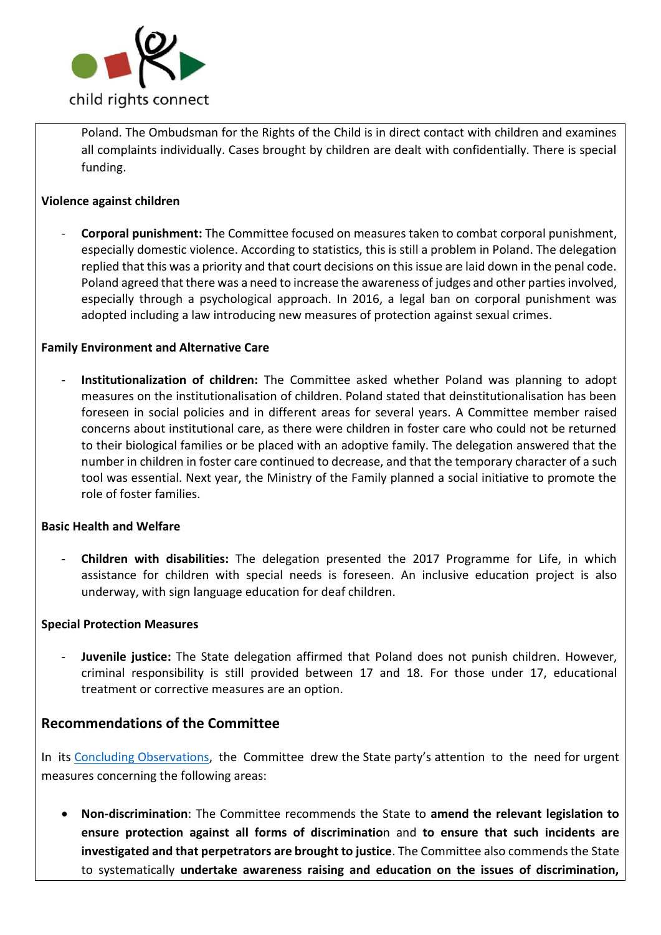

Poland. The Ombudsman for the Rights of the Child is in direct contact with children and examines all complaints individually. Cases brought by children are dealt with confidentially. There is special funding.

### **Violence against children**

- **Corporal punishment:** The Committee focused on measures taken to combat corporal punishment, especially domestic violence. According to statistics, this is still a problem in Poland. The delegation replied that this was a priority and that court decisions on this issue are laid down in the penal code. Poland agreed that there was a need to increase the awareness of judges and other parties involved, especially through a psychological approach. In 2016, a legal ban on corporal punishment was adopted including a law introducing new measures of protection against sexual crimes.

#### **Family Environment and Alternative Care**

- **Institutionalization of children:** The Committee asked whether Poland was planning to adopt measures on the institutionalisation of children. Poland stated that deinstitutionalisation has been foreseen in social policies and in different areas for several years. A Committee member raised concerns about institutional care, as there were children in foster care who could not be returned to their biological families or be placed with an adoptive family. The delegation answered that the number in children in foster care continued to decrease, and that the temporary character of a such tool was essential. Next year, the Ministry of the Family planned a social initiative to promote the role of foster families.

#### **Basic Health and Welfare**

- **Children with disabilities:** The delegation presented the 2017 Programme for Life, in which assistance for children with special needs is foreseen. An inclusive education project is also underway, with sign language education for deaf children.

#### **Special Protection Measures**

- **Juvenile justice:** The State delegation affirmed that Poland does not punish children. However, criminal responsibility is still provided between 17 and 18. For those under 17, educational treatment or corrective measures are an option.

# **Recommendations of the Committee**

In its [Concluding Observations,](https://tbinternet.ohchr.org/_layouts/15/treatybodyexternal/Download.aspx?symbolno=CRC%2fC%2fPOL%2fCO%2f5-6&Lang=en) the Committee drew the State party's attention to the need for urgent measures concerning the following areas:

• **Non-discrimination**: The Committee recommends the State to **amend the relevant legislation to ensure protection against all forms of discriminatio**n and **to ensure that such incidents are investigated and that perpetrators are brought to justice**. The Committee also commends the State to systematically **undertake awareness raising and education on the issues of discrimination,**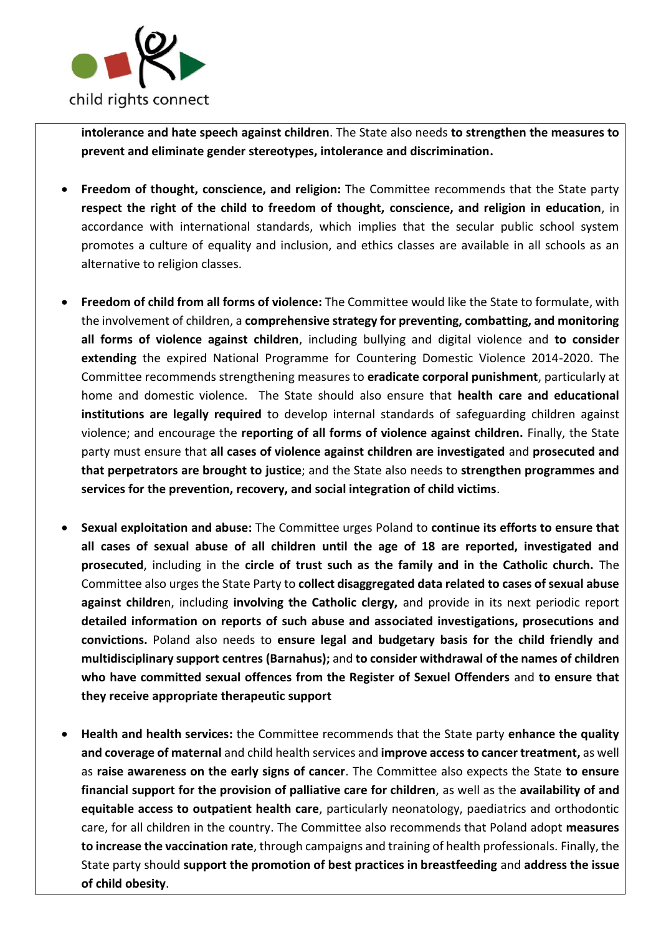

**intolerance and hate speech against children**. The State also needs **to strengthen the measures to prevent and eliminate gender stereotypes, intolerance and discrimination.**

- **Freedom of thought, conscience, and religion:** The Committee recommends that the State party **respect the right of the child to freedom of thought, conscience, and religion in education**, in accordance with international standards, which implies that the secular public school system promotes a culture of equality and inclusion, and ethics classes are available in all schools as an alternative to religion classes.
- **Freedom of child from all forms of violence:** The Committee would like the State to formulate, with the involvement of children, a **comprehensive strategy for preventing, combatting, and monitoring all forms of violence against children**, including bullying and digital violence and **to consider extending** the expired National Programme for Countering Domestic Violence 2014-2020. The Committee recommends strengthening measures to **eradicate corporal punishment**, particularly at home and domestic violence. The State should also ensure that **health care and educational institutions are legally required** to develop internal standards of safeguarding children against violence; and encourage the **reporting of all forms of violence against children.** Finally, the State party must ensure that **all cases of violence against children are investigated** and **prosecuted and that perpetrators are brought to justice**; and the State also needs to **strengthen programmes and services for the prevention, recovery, and social integration of child victims**.
- **Sexual exploitation and abuse:** The Committee urges Poland to **continue its efforts to ensure that all cases of sexual abuse of all children until the age of 18 are reported, investigated and prosecuted**, including in the **circle of trust such as the family and in the Catholic church.** The Committee also urges the State Party to **collect disaggregated data related to cases of sexual abuse against childre**n, including **involving the Catholic clergy,** and provide in its next periodic report **detailed information on reports of such abuse and associated investigations, prosecutions and convictions.** Poland also needs to **ensure legal and budgetary basis for the child friendly and multidisciplinary support centres (Barnahus);** and **to consider withdrawal of the names of children who have committed sexual offences from the Register of Sexuel Offenders** and **to ensure that they receive appropriate therapeutic support**
- **Health and health services:** the Committee recommends that the State party **enhance the quality and coverage of maternal** and child health services and **improve access to cancer treatment,** as well as **raise awareness on the early signs of cancer**. The Committee also expects the State **to ensure financial support for the provision of palliative care for children**, as well as the **availability of and equitable access to outpatient health care**, particularly neonatology, paediatrics and orthodontic care, for all children in the country. The Committee also recommends that Poland adopt **measures to increase the vaccination rate**, through campaigns and training of health professionals. Finally, the State party should **support the promotion of best practices in breastfeeding** and **address the issue of child obesity**.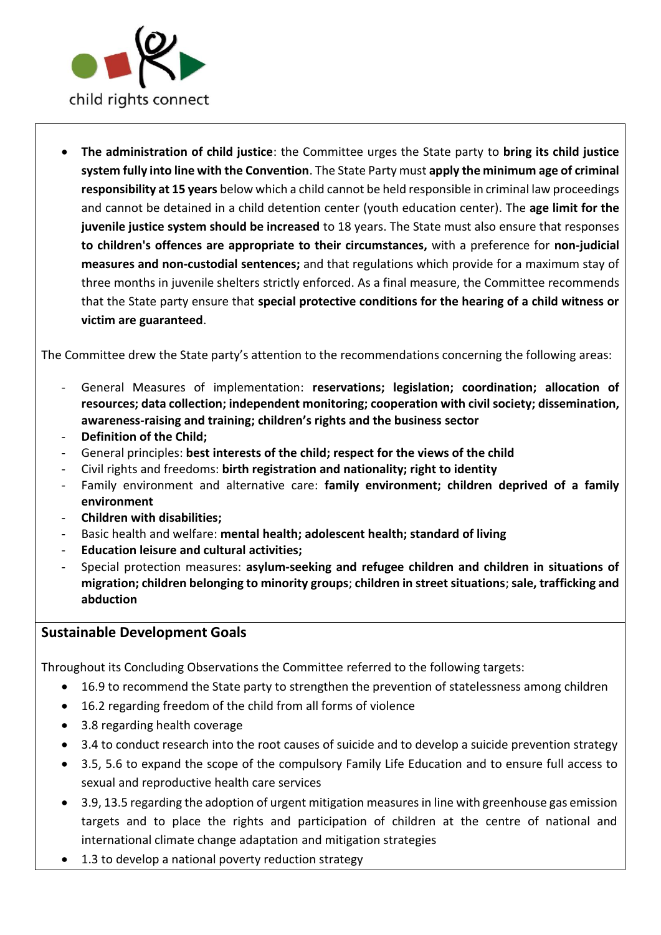

• **The administration of child justice**: the Committee urges the State party to **bring its child justice system fully into line with the Convention**. The State Party must **apply the minimum age of criminal responsibility at 15 years** below which a child cannot be held responsible in criminal law proceedings and cannot be detained in a child detention center (youth education center). The **age limit for the juvenile justice system should be increased** to 18 years. The State must also ensure that responses **to children's offences are appropriate to their circumstances,** with a preference for **non-judicial measures and non-custodial sentences;** and that regulations which provide for a maximum stay of three months in juvenile shelters strictly enforced. As a final measure, the Committee recommends that the State party ensure that **special protective conditions for the hearing of a child witness or victim are guaranteed**.

The Committee drew the State party's attention to the recommendations concerning the following areas:

- General Measures of implementation: **reservations; legislation; coordination; allocation of resources; data collection; independent monitoring; cooperation with civil society; dissemination, awareness-raising and training; children's rights and the business sector**
- Definition of the Child;
- General principles: **best interests of the child; respect for the views of the child**
- Civil rights and freedoms: **birth registration and nationality; right to identity**
- Family environment and alternative care: **family environment; children deprived of a family environment**
- **Children with disabilities;**
- Basic health and welfare: **mental health; adolescent health; standard of living**
- **Education leisure and cultural activities;**
- Special protection measures: **asylum-seeking and refugee children and children in situations of migration; children belonging to minority groups**; **children in street situations**;**sale, trafficking and abduction**

# **Sustainable Development Goals**

Throughout its Concluding Observations the Committee referred to the following targets:

- 16.9 to recommend the State party to strengthen the prevention of statelessness among children
- 16.2 regarding freedom of the child from all forms of violence
- 3.8 regarding health coverage
- 3.4 to conduct research into the root causes of suicide and to develop a suicide prevention strategy
- 3.5, 5.6 to expand the scope of the compulsory Family Life Education and to ensure full access to sexual and reproductive health care services
- 3.9, 13.5 regarding the adoption of urgent mitigation measures in line with greenhouse gas emission targets and to place the rights and participation of children at the centre of national and international climate change adaptation and mitigation strategies
- 1.3 to develop a national poverty reduction strategy